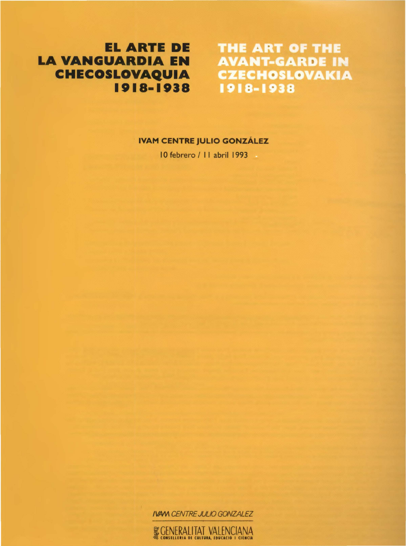## **EL ARTE DE LA VANGUARDIA EN CHECOSLOVAQUIA 1918-1938**

THE ART OF THE **AVANT-GARDE IN CZECHOSLOVAKIA** 1918-1938

## **IVAM CENTRE JULIO GONZÁLEZ**

10 febrero / 11 abril 1993 .

IVAM CENTRE JULIO GONZALEZ